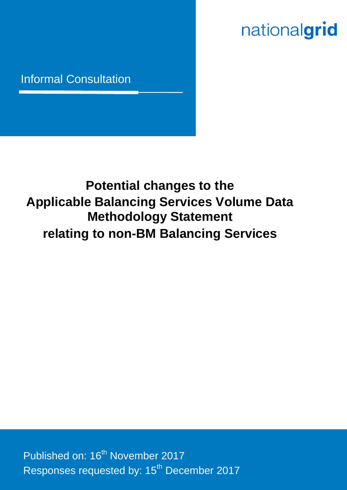# nationalgrid

## Informal Consultation

# **Potential changes to the Applicable Balancing Services Volume Data Methodology Statement relating to non-BM Balancing Services**

ABSVD informal consultation Nov 17 Published on: 16<sup>th</sup> November 2017 Responses requested by: 15<sup>th</sup> December 2017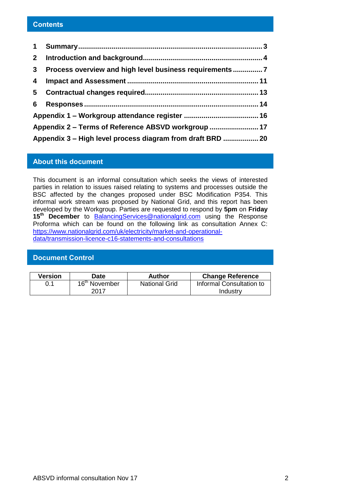#### **Contents**

| $\mathbf 1$                                                |                                                       |  |  |  |  |
|------------------------------------------------------------|-------------------------------------------------------|--|--|--|--|
| $2^{\circ}$                                                |                                                       |  |  |  |  |
| $3^{\circ}$                                                | Process overview and high level business requirements |  |  |  |  |
| 4                                                          |                                                       |  |  |  |  |
| 5                                                          |                                                       |  |  |  |  |
| 6                                                          |                                                       |  |  |  |  |
|                                                            |                                                       |  |  |  |  |
|                                                            |                                                       |  |  |  |  |
| Appendix 3 - High level process diagram from draft BRD  20 |                                                       |  |  |  |  |

#### **About this document**

This document is an informal consultation which seeks the views of interested parties in relation to issues raised relating to systems and processes outside the BSC affected by the changes proposed under BSC Modification P354. This informal work stream was proposed by National Grid, and this report has been developed by the Workgroup. Parties are requested to respond by **5pm** on **Friday 15th December** to [BalancingServices@nationalgrid.com](mailto:BalancingServices@nationalgrid.com) using the Response Proforma which can be found on the following link as consultation Annex C: [https://www.nationalgrid.com/uk/electricity/market-and-operational](https://www.nationalgrid.com/uk/electricity/market-and-operational-data/transmission-licence-c16-statements-and-consultations)[data/transmission-licence-c16-statements-and-consultations](https://www.nationalgrid.com/uk/electricity/market-and-operational-data/transmission-licence-c16-statements-and-consultations) 

#### **Document Control**

| Version | Date                      | Author               | <b>Change Reference</b>  |  |
|---------|---------------------------|----------------------|--------------------------|--|
| 0.1     | 16 <sup>th</sup> November | <b>National Grid</b> | Informal Consultation to |  |
|         | 2017                      |                      | Industry                 |  |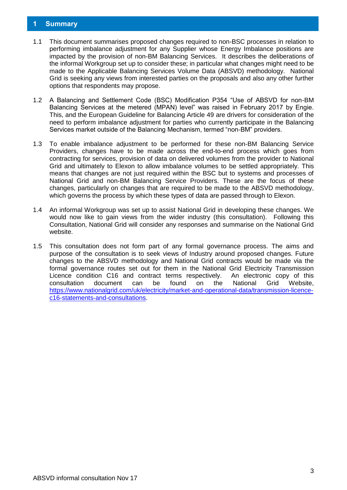#### <span id="page-2-0"></span>**1 Summary**

- 1.1 This document summarises proposed changes required to non-BSC processes in relation to performing imbalance adjustment for any Supplier whose Energy Imbalance positions are impacted by the provision of non-BM Balancing Services. It describes the deliberations of the informal Workgroup set up to consider these; in particular what changes might need to be made to the Applicable Balancing Services Volume Data (ABSVD) methodology. National Grid is seeking any views from interested parties on the proposals and also any other further options that respondents may propose.
- 1.2 A Balancing and Settlement Code (BSC) Modification P354 "Use of ABSVD for non-BM Balancing Services at the metered (MPAN) level" was raised in February 2017 by Engie. This, and the European Guideline for Balancing Article 49 are drivers for consideration of the need to perform imbalance adjustment for parties who currently participate in the Balancing Services market outside of the Balancing Mechanism, termed "non-BM" providers.
- 1.3 To enable imbalance adjustment to be performed for these non-BM Balancing Service Providers, changes have to be made across the end-to-end process which goes from contracting for services, provision of data on delivered volumes from the provider to National Grid and ultimately to Elexon to allow imbalance volumes to be settled appropriately. This means that changes are not just required within the BSC but to systems and processes of National Grid and non-BM Balancing Service Providers. These are the focus of these changes, particularly on changes that are required to be made to the ABSVD methodology, which governs the process by which these types of data are passed through to Elexon.
- 1.4 An informal Workgroup was set up to assist National Grid in developing these changes. We would now like to gain views from the wider industry (this consultation). Following this Consultation, National Grid will consider any responses and summarise on the National Grid website.
- 1.5 This consultation does not form part of any formal governance process. The aims and purpose of the consultation is to seek views of Industry around proposed changes. Future changes to the ABSVD methodology and National Grid contracts would be made via the formal governance routes set out for them in the National Grid Electricity Transmission Licence condition C16 and contract terms respectively. An electronic copy of this consultation document can be found on the National Grid Website, [https://www.nationalgrid.com/uk/electricity/market-and-operational-data/transmission-licence](https://www.nationalgrid.com/uk/electricity/market-and-operational-data/transmission-licence-c16-statements-and-consultations)[c16-statements-and-consultations.](https://www.nationalgrid.com/uk/electricity/market-and-operational-data/transmission-licence-c16-statements-and-consultations)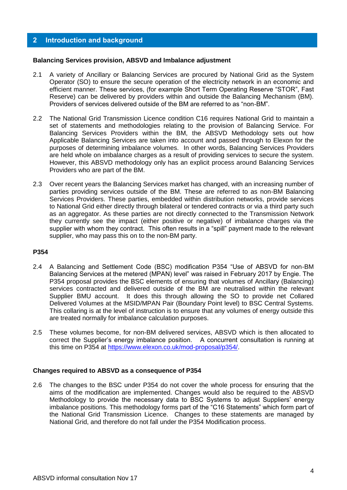#### <span id="page-3-0"></span>**2 Introduction and background**

#### **Balancing Services provision, ABSVD and Imbalance adjustment**

- 2.1 A variety of Ancillary or Balancing Services are procured by National Grid as the System Operator (SO) to ensure the secure operation of the electricity network in an economic and efficient manner. These services, (for example Short Term Operating Reserve "STOR", Fast Reserve) can be delivered by providers within and outside the Balancing Mechanism (BM). Providers of services delivered outside of the BM are referred to as "non-BM".
- 2.2 The National Grid Transmission Licence condition C16 requires National Grid to maintain a set of statements and methodologies relating to the provision of Balancing Service. For Balancing Services Providers within the BM, the ABSVD Methodology sets out how Applicable Balancing Services are taken into account and passed through to Elexon for the purposes of determining imbalance volumes. In other words, Balancing Services Providers are held whole on imbalance charges as a result of providing services to secure the system. However, this ABSVD methodology only has an explicit process around Balancing Services Providers who are part of the BM.
- 2.3 Over recent years the Balancing Services market has changed, with an increasing number of parties providing services outside of the BM. These are referred to as non-BM Balancing Services Providers. These parties, embedded within distribution networks, provide services to National Grid either directly through bilateral or tendered contracts or via a third party such as an aggregator. As these parties are not directly connected to the Transmission Network they currently see the impact (either positive or negative) of imbalance charges via the supplier with whom they contract. This often results in a "spill" payment made to the relevant supplier, who may pass this on to the non-BM party.

#### **P354**

- 2.4 A Balancing and Settlement Code (BSC) modification P354 "Use of ABSVD for non-BM Balancing Services at the metered (MPAN) level" was raised in February 2017 by Engie. The P354 proposal provides the BSC elements of ensuring that volumes of Ancillary (Balancing) services contracted and delivered outside of the BM are neutralised within the relevant Supplier BMU account. It does this through allowing the SO to provide net Collared Delivered Volumes at the MSID/MPAN Pair (Boundary Point level) to BSC Central Systems. This collaring is at the level of instruction is to ensure that any volumes of energy outside this are treated normally for imbalance calculation purposes.
- 2.5 These volumes become, for non-BM delivered services, ABSVD which is then allocated to correct the Supplier's energy imbalance position. A concurrent consultation is running at this time on P354 at [https://www.elexon.co.uk/mod-proposal/p354/.](https://www.elexon.co.uk/mod-proposal/p354/)

#### **Changes required to ABSVD as a consequence of P354**

2.6 The changes to the BSC under P354 do not cover the whole process for ensuring that the aims of the modification are implemented. Changes would also be required to the ABSVD Methodology to provide the necessary data to BSC Systems to adjust Suppliers' energy imbalance positions. This methodology forms part of the "C16 Statements" which form part of the National Grid Transmission Licence. Changes to these statements are managed by National Grid, and therefore do not fall under the P354 Modification process.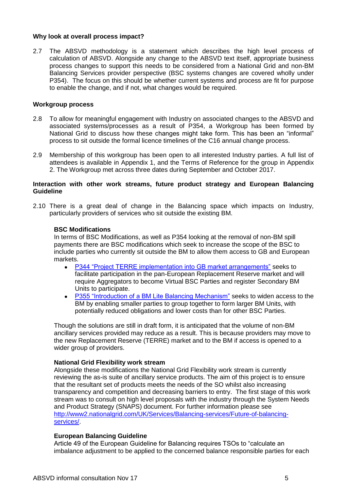#### **Why look at overall process impact?**

2.7 The ABSVD methodology is a statement which describes the high level process of calculation of ABSVD. Alongside any change to the ABSVD text itself, appropriate business process changes to support this needs to be considered from a National Grid and non-BM Balancing Services provider perspective (BSC systems changes are covered wholly under P354). The focus on this should be whether current systems and process are fit for purpose to enable the change, and if not, what changes would be required.

#### **Workgroup process**

- 2.8 To allow for meaningful engagement with Industry on associated changes to the ABSVD and associated systems/processes as a result of P354, a Workgroup has been formed by National Grid to discuss how these changes might take form. This has been an "informal" process to sit outside the formal licence timelines of the C16 annual change process.
- 2.9 Membership of this workgroup has been open to all interested Industry parties. A full list of attendees is available in Appendix 1, and the Terms of Reference for the group in Appendix 2. The Workgroup met across three dates during September and October 2017.

#### **Interaction with other work streams, future product strategy and European Balancing Guideline**

2.10 There is a great deal of change in the Balancing space which impacts on Industry, particularly providers of services who sit outside the existing BM.

#### **BSC Modifications**

In terms of BSC Modifications, as well as P354 looking at the removal of non-BM spill payments there are BSC modifications which seek to increase the scope of the BSC to include parties who currently sit outside the BM to allow them access to GB and European markets.

- [P344 "Project TERRE implementation into GB market arrangements"](https://www.elexon.co.uk/mod-proposal/p344/) seeks to facilitate participation in the pan-European Replacement Reserve market and will require Aggregators to become Virtual BSC Parties and register Secondary BM Units to participate.
- [P355 "Introduction of a BM Lite Balancing Mechanism"](https://www.elexon.co.uk/mod-proposal/p355/) seeks to widen access to the BM by enabling smaller parties to group together to form larger BM Units, with potentially reduced obligations and lower costs than for other BSC Parties.

Though the solutions are still in draft form, it is anticipated that the volume of non-BM ancillary services provided may reduce as a result. This is because providers may move to the new Replacement Reserve (TERRE) market and to the BM if access is opened to a wider group of providers.

#### **National Grid Flexibility work stream**

Alongside these modifications the National Grid Flexibility work stream is currently reviewing the as-is suite of ancillary service products. The aim of this project is to ensure that the resultant set of products meets the needs of the SO whilst also increasing transparency and competition and decreasing barriers to entry. The first stage of this work stream was to consult on high level proposals with the industry through the System Needs and Product Strategy (SNAPS) document. For further information please see [http://www2.nationalgrid.com/UK/Services/Balancing-services/Future-of-balancing](http://www2.nationalgrid.com/UK/Services/Balancing-services/Future-of-balancing-services/)[services/.](http://www2.nationalgrid.com/UK/Services/Balancing-services/Future-of-balancing-services/)

#### **European Balancing Guideline**

Article 49 of the European Guideline for Balancing requires TSOs to "calculate an imbalance adjustment to be applied to the concerned balance responsible parties for each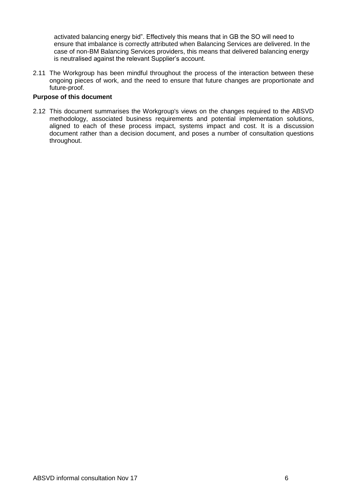activated balancing energy bid". Effectively this means that in GB the SO will need to ensure that imbalance is correctly attributed when Balancing Services are delivered. In the case of non-BM Balancing Services providers, this means that delivered balancing energy is neutralised against the relevant Supplier's account.

2.11 The Workgroup has been mindful throughout the process of the interaction between these ongoing pieces of work, and the need to ensure that future changes are proportionate and future-proof.

#### **Purpose of this document**

2.12 This document summarises the Workgroup's views on the changes required to the ABSVD methodology, associated business requirements and potential implementation solutions, aligned to each of these process impact, systems impact and cost. It is a discussion document rather than a decision document, and poses a number of consultation questions throughout.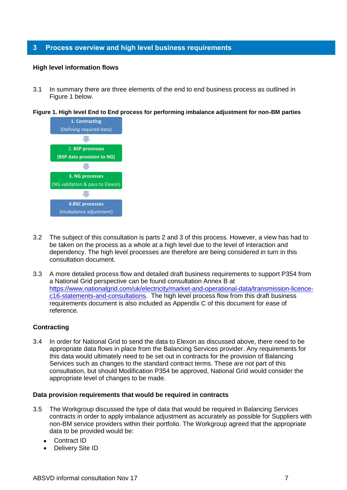#### <span id="page-6-0"></span>**3 Process overview and high level business requirements**

#### **High level information flows**

3.1 In summary there are three elements of the end to end business process as outlined in Figure 1 below.

**Figure 1. High level End to End process for performing imbalance adjustment for non-BM parties**



- 3.2 The subject of this consultation is parts 2 and 3 of this process. However, a view has had to be taken on the process as a whole at a high level due to the level of interaction and dependency. The high level processes are therefore are being considered in turn in this consultation document.
- 3.3 A more detailed process flow and detailed draft business requirements to support P354 from a National Grid perspective can be found consultation Annex B at [https://www.nationalgrid.com/uk/electricity/market-and-operational-data/transmission-licence](https://www.nationalgrid.com/uk/electricity/market-and-operational-data/transmission-licence-c16-statements-and-consultations)[c16-statements-and-consultations.](https://www.nationalgrid.com/uk/electricity/market-and-operational-data/transmission-licence-c16-statements-and-consultations) The high level process flow from this draft business requirements document is also included as Appendix C of this document for ease of reference.

#### **Contracting**

3.4 In order for National Grid to send the data to Elexon as discussed above, there need to be appropriate data flows in place from the Balancing Services provider. Any requirements for this data would ultimately need to be set out in contracts for the provision of Balancing Services such as changes to the standard contract terms. These are not part of this consultation, but should Modification P354 be approved, National Grid would consider the appropriate level of changes to be made.

#### **Data provision requirements that would be required in contracts**

- 3.5 The Workgroup discussed the type of data that would be required in Balancing Services contracts in order to apply imbalance adjustment as accurately as possible for Suppliers with non-BM service providers within their portfolio. The Workgroup agreed that the appropriate data to be provided would be:
	- Contract ID
	- Delivery Site ID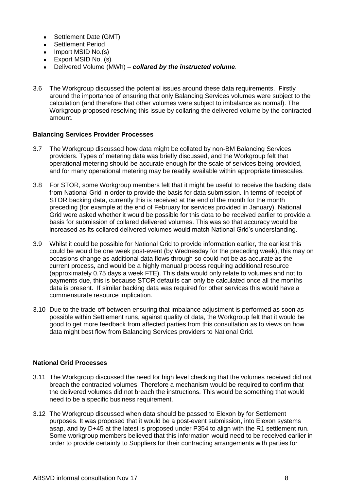- Settlement Date (GMT)
- Settlement Period
- $\bullet$  Import MSID No.(s)
- Export MSID No. (s)
- Delivered Volume (MWh) *collared by the instructed volume*.
- 3.6 The Workgroup discussed the potential issues around these data requirements. Firstly around the importance of ensuring that only Balancing Services volumes were subject to the calculation (and therefore that other volumes were subject to imbalance as normal). The Workgroup proposed resolving this issue by collaring the delivered volume by the contracted amount.

#### **Balancing Services Provider Processes**

- 3.7 The Workgroup discussed how data might be collated by non-BM Balancing Services providers. Types of metering data was briefly discussed, and the Workgroup felt that operational metering should be accurate enough for the scale of services being provided, and for many operational metering may be readily available within appropriate timescales.
- 3.8 For STOR, some Workgroup members felt that it might be useful to receive the backing data from National Grid in order to provide the basis for data submission. In terms of receipt of STOR backing data, currently this is received at the end of the month for the month preceding (for example at the end of February for services provided in January). National Grid were asked whether it would be possible for this data to be received earlier to provide a basis for submission of collared delivered volumes. This was so that accuracy would be increased as its collared delivered volumes would match National Grid's understanding.
- 3.9 Whilst it could be possible for National Grid to provide information earlier, the earliest this could be would be one week post-event (by Wednesday for the preceding week), this may on occasions change as additional data flows through so could not be as accurate as the current process, and would be a highly manual process requiring additional resource (approximately 0.75 days a week FTE). This data would only relate to volumes and not to payments due, this is because STOR defaults can only be calculated once all the months data is present. If similar backing data was required for other services this would have a commensurate resource implication.
- 3.10 Due to the trade-off between ensuring that imbalance adjustment is performed as soon as possible within Settlement runs, against quality of data, the Workgroup felt that it would be good to get more feedback from affected parties from this consultation as to views on how data might best flow from Balancing Services providers to National Grid.

#### **National Grid Processes**

- 3.11 The Workgroup discussed the need for high level checking that the volumes received did not breach the contracted volumes. Therefore a mechanism would be required to confirm that the delivered volumes did not breach the instructions. This would be something that would need to be a specific business requirement.
- 3.12 The Workgroup discussed when data should be passed to Elexon by for Settlement purposes. It was proposed that it would be a post-event submission, into Elexon systems asap, and by D+45 at the latest is proposed under P354 to align with the R1 settlement run. Some workgroup members believed that this information would need to be received earlier in order to provide certainty to Suppliers for their contracting arrangements with parties for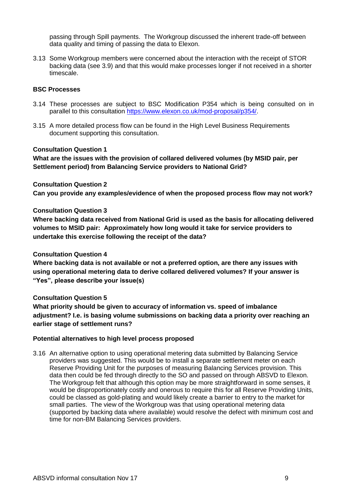passing through Spill payments. The Workgroup discussed the inherent trade-off between data quality and timing of passing the data to Elexon.

3.13 Some Workgroup members were concerned about the interaction with the receipt of STOR backing data (see 3.9) and that this would make processes longer if not received in a shorter timescale.

#### **BSC Processes**

- 3.14 These processes are subject to BSC Modification P354 which is being consulted on in parallel to this consultation [https://www.elexon.co.uk/mod-proposal/p354/.](https://www.elexon.co.uk/mod-proposal/p354/)
- 3.15 A more detailed process flow can be found in the High Level Business Requirements document supporting this consultation.

#### **Consultation Question 1**

**What are the issues with the provision of collared delivered volumes (by MSID pair, per Settlement period) from Balancing Service providers to National Grid?** 

#### **Consultation Question 2**

**Can you provide any examples/evidence of when the proposed process flow may not work?**

#### **Consultation Question 3**

**Where backing data received from National Grid is used as the basis for allocating delivered volumes to MSID pair: Approximately how long would it take for service providers to undertake this exercise following the receipt of the data?**

#### **Consultation Question 4**

**Where backing data is not available or not a preferred option, are there any issues with using operational metering data to derive collared delivered volumes? If your answer is "Yes", please describe your issue(s)**

#### **Consultation Question 5**

**What priority should be given to accuracy of information vs. speed of imbalance adjustment? I.e. is basing volume submissions on backing data a priority over reaching an earlier stage of settlement runs?**

#### **Potential alternatives to high level process proposed**

3.16 An alternative option to using operational metering data submitted by Balancing Service providers was suggested. This would be to install a separate settlement meter on each Reserve Providing Unit for the purposes of measuring Balancing Services provision. This data then could be fed through directly to the SO and passed on through ABSVD to Elexon. The Workgroup felt that although this option may be more straightforward in some senses, it would be disproportionately costly and onerous to require this for all Reserve Providing Units, could be classed as gold-plating and would likely create a barrier to entry to the market for small parties. The view of the Workgroup was that using operational metering data (supported by backing data where available) would resolve the defect with minimum cost and time for non-BM Balancing Services providers.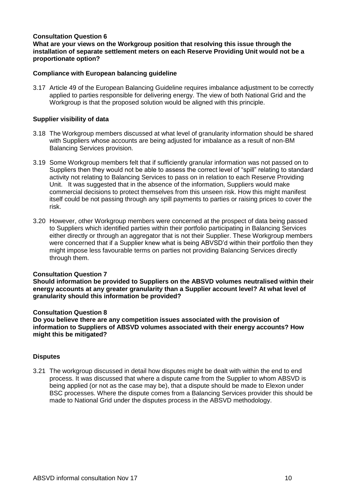#### **Consultation Question 6**

**What are your views on the Workgroup position that resolving this issue through the installation of separate settlement meters on each Reserve Providing Unit would not be a proportionate option?**

#### **Compliance with European balancing guideline**

3.17 Article 49 of the European Balancing Guideline requires imbalance adjustment to be correctly applied to parties responsible for delivering energy. The view of both National Grid and the Workgroup is that the proposed solution would be aligned with this principle.

#### **Supplier visibility of data**

- 3.18 The Workgroup members discussed at what level of granularity information should be shared with Suppliers whose accounts are being adjusted for imbalance as a result of non-BM Balancing Services provision.
- 3.19 Some Workgroup members felt that if sufficiently granular information was not passed on to Suppliers then they would not be able to assess the correct level of "spill" relating to standard activity not relating to Balancing Services to pass on in relation to each Reserve Providing Unit. It was suggested that in the absence of the information, Suppliers would make commercial decisions to protect themselves from this unseen risk. How this might manifest itself could be not passing through any spill payments to parties or raising prices to cover the risk.
- 3.20 However, other Workgroup members were concerned at the prospect of data being passed to Suppliers which identified parties within their portfolio participating in Balancing Services either directly or through an aggregator that is not their Supplier. These Workgroup members were concerned that if a Supplier knew what is being ABVSD'd within their portfolio then they might impose less favourable terms on parties not providing Balancing Services directly through them.

#### **Consultation Question 7**

**Should information be provided to Suppliers on the ABSVD volumes neutralised within their energy accounts at any greater granularity than a Supplier account level? At what level of granularity should this information be provided?**

#### **Consultation Question 8**

**Do you believe there are any competition issues associated with the provision of information to Suppliers of ABSVD volumes associated with their energy accounts? How might this be mitigated?**

#### **Disputes**

3.21 The workgroup discussed in detail how disputes might be dealt with within the end to end process. It was discussed that where a dispute came from the Supplier to whom ABSVD is being applied (or not as the case may be), that a dispute should be made to Elexon under BSC processes. Where the dispute comes from a Balancing Services provider this should be made to National Grid under the disputes process in the ABSVD methodology.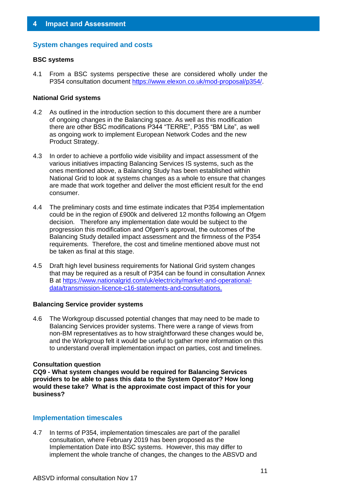#### <span id="page-10-0"></span>**System changes required and costs**

#### **BSC systems**

4.1 From a BSC systems perspective these are considered wholly under the P354 consultation document [https://www.elexon.co.uk/mod-proposal/p354/.](https://www.elexon.co.uk/mod-proposal/p354/)

#### **National Grid systems**

- 4.2 As outlined in the introduction section to this document there are a number of ongoing changes in the Balancing space. As well as this modification there are other BSC modifications P344 "TERRE", P355 "BM Lite", as well as ongoing work to implement European Network Codes and the new Product Strategy.
- 4.3 In order to achieve a portfolio wide visibility and impact assessment of the various initiatives impacting Balancing Services IS systems, such as the ones mentioned above, a Balancing Study has been established within National Grid to look at systems changes as a whole to ensure that changes are made that work together and deliver the most efficient result for the end consumer.
- 4.4 The preliminary costs and time estimate indicates that P354 implementation could be in the region of £900k and delivered 12 months following an Ofgem decision. Therefore any implementation date would be subject to the progression this modification and Ofgem's approval, the outcomes of the Balancing Study detailed impact assessment and the firmness of the P354 requirements. Therefore, the cost and timeline mentioned above must not be taken as final at this stage.
- 4.5 Draft high level business requirements for National Grid system changes that may be required as a result of P354 can be found in consultation Annex B at [https://www.nationalgrid.com/uk/electricity/market-and-operational](https://www.nationalgrid.com/uk/electricity/market-and-operational-data/transmission-licence-c16-statements-and-consultations)[data/transmission-licence-c16-statements-and-consultations.](https://www.nationalgrid.com/uk/electricity/market-and-operational-data/transmission-licence-c16-statements-and-consultations)

#### **Balancing Service provider systems**

4.6 The Workgroup discussed potential changes that may need to be made to Balancing Services provider systems. There were a range of views from non-BM representatives as to how straightforward these changes would be, and the Workgroup felt it would be useful to gather more information on this to understand overall implementation impact on parties, cost and timelines.

#### **Consultation question**

**CQ9 - What system changes would be required for Balancing Services providers to be able to pass this data to the System Operator? How long would these take? What is the approximate cost impact of this for your business?**

#### **Implementation timescales**

4.7 In terms of P354, implementation timescales are part of the parallel consultation, where February 2019 has been proposed as the Implementation Date into BSC systems. However, this may differ to implement the whole tranche of changes, the changes to the ABSVD and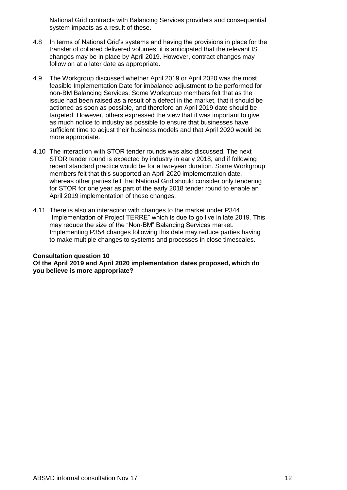National Grid contracts with Balancing Services providers and consequential system impacts as a result of these.

- 4.8 In terms of National Grid's systems and having the provisions in place for the transfer of collared delivered volumes, it is anticipated that the relevant IS changes may be in place by April 2019. However, contract changes may follow on at a later date as appropriate.
- 4.9 The Workgroup discussed whether April 2019 or April 2020 was the most feasible Implementation Date for imbalance adjustment to be performed for non-BM Balancing Services. Some Workgroup members felt that as the issue had been raised as a result of a defect in the market, that it should be actioned as soon as possible, and therefore an April 2019 date should be targeted. However, others expressed the view that it was important to give as much notice to industry as possible to ensure that businesses have sufficient time to adjust their business models and that April 2020 would be more appropriate.
- 4.10 The interaction with STOR tender rounds was also discussed. The next STOR tender round is expected by industry in early 2018, and if following recent standard practice would be for a two-year duration. Some Workgroup members felt that this supported an April 2020 implementation date, whereas other parties felt that National Grid should consider only tendering for STOR for one year as part of the early 2018 tender round to enable an April 2019 implementation of these changes.
- 4.11 There is also an interaction with changes to the market under P344 "Implementation of Project TERRE" which is due to go live in late 2019. This may reduce the size of the "Non-BM" Balancing Services market. Implementing P354 changes following this date may reduce parties having to make multiple changes to systems and processes in close timescales.

#### **Consultation question 10 Of the April 2019 and April 2020 implementation dates proposed, which do you believe is more appropriate?**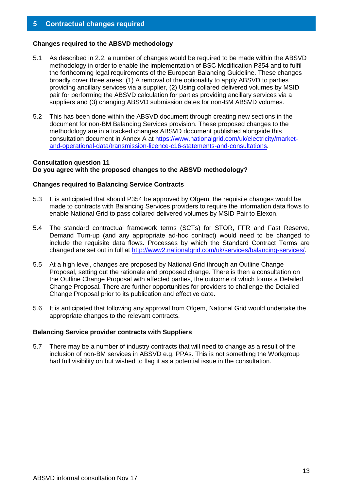#### <span id="page-12-0"></span>**Changes required to the ABSVD methodology**

- 5.1 As described in 2.2, a number of changes would be required to be made within the ABSVD methodology in order to enable the implementation of BSC Modification P354 and to fulfil the forthcoming legal requirements of the European Balancing Guideline. These changes broadly cover three areas: (1) A removal of the optionality to apply ABSVD to parties providing ancillary services via a supplier, (2) Using collared delivered volumes by MSID pair for performing the ABSVD calculation for parties providing ancillary services via a suppliers and (3) changing ABSVD submission dates for non-BM ABSVD volumes.
- 5.2 This has been done within the ABSVD document through creating new sections in the document for non-BM Balancing Services provision. These proposed changes to the methodology are in a tracked changes ABSVD document published alongside this consultation document in Annex A at [https://www.nationalgrid.com/uk/electricity/market](https://www.nationalgrid.com/uk/electricity/market-and-operational-data/transmission-licence-c16-statements-and-consultations)[and-operational-data/transmission-licence-c16-statements-and-consultations.](https://www.nationalgrid.com/uk/electricity/market-and-operational-data/transmission-licence-c16-statements-and-consultations)

#### **Consultation question 11 Do you agree with the proposed changes to the ABSVD methodology?**

#### **Changes required to Balancing Service Contracts**

- 5.3 It is anticipated that should P354 be approved by Ofgem, the requisite changes would be made to contracts with Balancing Services providers to require the information data flows to enable National Grid to pass collared delivered volumes by MSID Pair to Elexon.
- 5.4 The standard contractual framework terms (SCTs) for STOR, FFR and Fast Reserve, Demand Turn-up (and any appropriate ad-hoc contract) would need to be changed to include the requisite data flows. Processes by which the Standard Contract Terms are changed are set out in full at [http://www2.nationalgrid.com/uk/services/balancing-services/.](http://www2.nationalgrid.com/uk/services/balancing-services/)
- 5.5 At a high level, changes are proposed by National Grid through an Outline Change Proposal, setting out the rationale and proposed change. There is then a consultation on the Outline Change Proposal with affected parties, the outcome of which forms a Detailed Change Proposal. There are further opportunities for providers to challenge the Detailed Change Proposal prior to its publication and effective date.
- 5.6 It is anticipated that following any approval from Ofgem, National Grid would undertake the appropriate changes to the relevant contracts.

#### **Balancing Service provider contracts with Suppliers**

5.7 There may be a number of industry contracts that will need to change as a result of the inclusion of non-BM services in ABSVD e.g. PPAs. This is not something the Workgroup had full visibility on but wished to flag it as a potential issue in the consultation.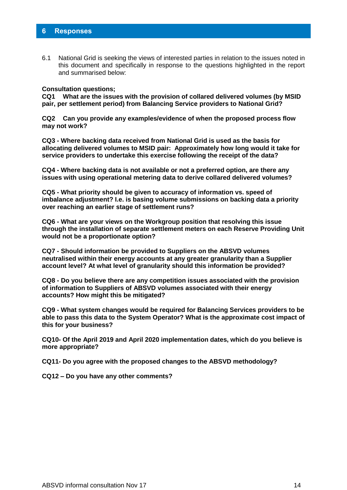#### <span id="page-13-0"></span>**6 Responses**

6.1 National Grid is seeking the views of interested parties in relation to the issues noted in this document and specifically in response to the questions highlighted in the report and summarised below:

#### **Consultation questions;**

**CQ1 What are the issues with the provision of collared delivered volumes (by MSID pair, per settlement period) from Balancing Service providers to National Grid?** 

**CQ2 Can you provide any examples/evidence of when the proposed process flow may not work?**

**CQ3 - Where backing data received from National Grid is used as the basis for allocating delivered volumes to MSID pair: Approximately how long would it take for service providers to undertake this exercise following the receipt of the data?**

**CQ4 - Where backing data is not available or not a preferred option, are there any issues with using operational metering data to derive collared delivered volumes?**

**CQ5 - What priority should be given to accuracy of information vs. speed of imbalance adjustment? I.e. is basing volume submissions on backing data a priority over reaching an earlier stage of settlement runs?**

**CQ6 - What are your views on the Workgroup position that resolving this issue through the installation of separate settlement meters on each Reserve Providing Unit would not be a proportionate option?**

**CQ7 - Should information be provided to Suppliers on the ABSVD volumes neutralised within their energy accounts at any greater granularity than a Supplier account level? At what level of granularity should this information be provided?**

**CQ8 - Do you believe there are any competition issues associated with the provision of information to Suppliers of ABSVD volumes associated with their energy accounts? How might this be mitigated?**

**CQ9 - What system changes would be required for Balancing Services providers to be able to pass this data to the System Operator? What is the approximate cost impact of this for your business?**

**CQ10- Of the April 2019 and April 2020 implementation dates, which do you believe is more appropriate?**

**CQ11- Do you agree with the proposed changes to the ABSVD methodology?**

**CQ12 – Do you have any other comments?**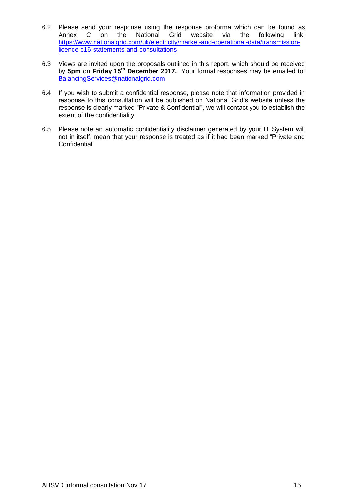- 6.2 Please send your response using the response proforma which can be found as<br>Annex C on the National Grid website via the following link: Annex C on the National Grid website via the following link: [https://www.nationalgrid.com/uk/electricity/market-and-operational-data/transmission](https://www.nationalgrid.com/uk/electricity/market-and-operational-data/transmission-licence-c16-statements-and-consultations)[licence-c16-statements-and-consultations](https://www.nationalgrid.com/uk/electricity/market-and-operational-data/transmission-licence-c16-statements-and-consultations)
- 6.3 Views are invited upon the proposals outlined in this report, which should be received by **5pm** on **Friday 15th December 2017.** Your formal responses may be emailed to: [BalancingServices@nationalgrid.com](mailto:BalancingServices@nationalgrid.com)
- 6.4 If you wish to submit a confidential response, please note that information provided in response to this consultation will be published on National Grid's website unless the response is clearly marked "Private & Confidential", we will contact you to establish the extent of the confidentiality.
- 6.5 Please note an automatic confidentiality disclaimer generated by your IT System will not in itself, mean that your response is treated as if it had been marked "Private and Confidential".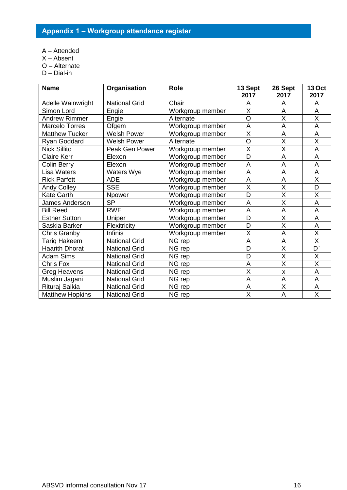- <span id="page-15-0"></span>A – Attended
- X Absent
- O Alternate
- D Dial-in

| <b>Name</b>            | Organisation         | <b>Role</b>      | 13 Sept                 | 26 Sept                 | <b>13 Oct</b>           |
|------------------------|----------------------|------------------|-------------------------|-------------------------|-------------------------|
|                        |                      |                  | 2017                    | 2017                    | 2017                    |
| Adelle Wainwright      | <b>National Grid</b> | Chair            | A                       | A                       | A                       |
| Simon Lord             | Engie                | Workgroup member | $\overline{\mathsf{x}}$ | $\overline{A}$          | $\overline{A}$          |
| <b>Andrew Rimmer</b>   | Engie                | Alternate        | O                       | X                       | X                       |
| <b>Marcelo Torres</b>  | Ofgem                | Workgroup member | A                       | A                       | A                       |
| <b>Matthew Tucker</b>  | <b>Welsh Power</b>   | Workgroup member | $\overline{\mathsf{x}}$ | $\overline{A}$          | $\overline{A}$          |
| Ryan Goddard           | <b>Welsh Power</b>   | Alternate        | O                       | X                       | X                       |
| <b>Nick Sillito</b>    | Peak Gen Power       | Workgroup member | X                       | $\overline{\mathsf{x}}$ | A                       |
| <b>Claire Kerr</b>     | Elexon               | Workgroup member | $\overline{\mathsf{D}}$ | $\overline{A}$          | $\overline{A}$          |
| <b>Colin Berry</b>     | Elexon               | Workgroup member | A                       | A                       | A                       |
| <b>Lisa Waters</b>     | Waters Wye           | Workgroup member | A                       | A                       | A                       |
| <b>Rick Parfett</b>    | <b>ADE</b>           | Workgroup member | A                       | A                       | $\overline{\mathsf{X}}$ |
| <b>Andy Colley</b>     | <b>SSE</b>           | Workgroup member | X                       | X                       | D                       |
| <b>Kate Garth</b>      | Npower               | Workgroup member | $\overline{\mathsf{D}}$ | $\overline{\mathsf{x}}$ | X                       |
| James Anderson         | <b>SP</b>            | Workgroup member | A                       | X                       | A                       |
| <b>Bill Reed</b>       | <b>RWE</b>           | Workgroup member | A                       | A                       | $\overline{A}$          |
| <b>Esther Sutton</b>   | Uniper               | Workgroup member | D                       | X                       | A                       |
| Saskia Barker          | Flexitricity         | Workgroup member | D                       | $\overline{\mathsf{x}}$ | A                       |
| <b>Chris Granby</b>    | <b>Infinis</b>       | Workgroup member | X                       | A                       | X                       |
| <b>Tariq Hakeem</b>    | <b>National Grid</b> | NG rep           | A                       | $\overline{A}$          | $\overline{\mathsf{X}}$ |
| <b>Haarith Dhorat</b>  | <b>National Grid</b> | NG rep           | D                       | $\overline{\mathsf{X}}$ | $\overline{D}$          |
| <b>Adam Sims</b>       | <b>National Grid</b> | NG rep           | D                       | X                       | X                       |
| Chris Fox              | <b>National Grid</b> | NG rep           | A                       | $\overline{\mathsf{x}}$ | $\overline{\mathsf{x}}$ |
| <b>Greg Heavens</b>    | <b>National Grid</b> | NG rep           | $\overline{\mathsf{X}}$ | X                       | A                       |
| Muslim Jagani          | <b>National Grid</b> | NG rep           | A                       | A                       | A                       |
| Rituraj Saikia         | <b>National Grid</b> | NG rep           | A                       | $\overline{\mathsf{x}}$ | A                       |
| <b>Matthew Hopkins</b> | <b>National Grid</b> | NG rep           | X                       | A                       | X                       |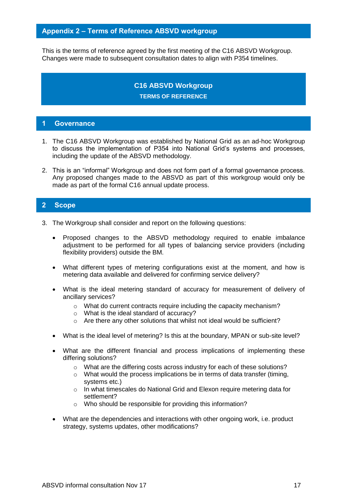#### <span id="page-16-0"></span>**Appendix 2 – Terms of Reference ABSVD workgroup**

This is the terms of reference agreed by the first meeting of the C16 ABSVD Workgroup. Changes were made to subsequent consultation dates to align with P354 timelines.

## **C16 ABSVD Workgroup TERMS OF REFERENCE**

#### **1 Governance**

- 1. The C16 ABSVD Workgroup was established by National Grid as an ad-hoc Workgroup to discuss the implementation of P354 into National Grid's systems and processes, including the update of the ABSVD methodology.
- 2. This is an "informal" Workgroup and does not form part of a formal governance process. Any proposed changes made to the ABSVD as part of this workgroup would only be made as part of the formal C16 annual update process.

#### **2 Scope**

- 3. The Workgroup shall consider and report on the following questions:
	- Proposed changes to the ABSVD methodology required to enable imbalance adjustment to be performed for all types of balancing service providers (including flexibility providers) outside the BM.
	- What different types of metering configurations exist at the moment, and how is metering data available and delivered for confirming service delivery?
	- What is the ideal metering standard of accuracy for measurement of delivery of ancillary services?
		- o What do current contracts require including the capacity mechanism?
		- o What is the ideal standard of accuracy?
		- o Are there any other solutions that whilst not ideal would be sufficient?
	- What is the ideal level of metering? Is this at the boundary, MPAN or sub-site level?
	- What are the different financial and process implications of implementing these differing solutions?
		- o What are the differing costs across industry for each of these solutions?
		- o What would the process implications be in terms of data transfer (timing, systems etc.)
		- o In what timescales do National Grid and Elexon require metering data for settlement?
		- o Who should be responsible for providing this information?
	- What are the dependencies and interactions with other ongoing work, i.e. product strategy, systems updates, other modifications?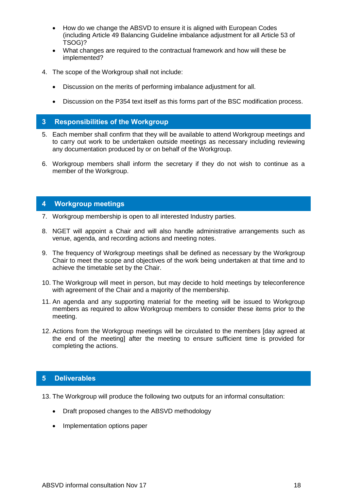- How do we change the ABSVD to ensure it is aligned with European Codes (including Article 49 Balancing Guideline imbalance adjustment for all Article 53 of TSOG)?
- What changes are required to the contractual framework and how will these be implemented?
- 4. The scope of the Workgroup shall not include:
	- Discussion on the merits of performing imbalance adjustment for all.
	- Discussion on the P354 text itself as this forms part of the BSC modification process.

#### **3 Responsibilities of the Workgroup**

- 5. Each member shall confirm that they will be available to attend Workgroup meetings and to carry out work to be undertaken outside meetings as necessary including reviewing any documentation produced by or on behalf of the Workgroup.
- 6. Workgroup members shall inform the secretary if they do not wish to continue as a member of the Workgroup.

#### **4 Workgroup meetings**

- 7. Workgroup membership is open to all interested Industry parties.
- 8. NGET will appoint a Chair and will also handle administrative arrangements such as venue, agenda, and recording actions and meeting notes.
- 9. The frequency of Workgroup meetings shall be defined as necessary by the Workgroup Chair to meet the scope and objectives of the work being undertaken at that time and to achieve the timetable set by the Chair.
- 10. The Workgroup will meet in person, but may decide to hold meetings by teleconference with agreement of the Chair and a majority of the membership.
- 11. An agenda and any supporting material for the meeting will be issued to Workgroup members as required to allow Workgroup members to consider these items prior to the meeting.
- 12. Actions from the Workgroup meetings will be circulated to the members [day agreed at the end of the meeting] after the meeting to ensure sufficient time is provided for completing the actions.

#### **5 Deliverables**

13. The Workgroup will produce the following two outputs for an informal consultation:

- Draft proposed changes to the ABSVD methodology
- Implementation options paper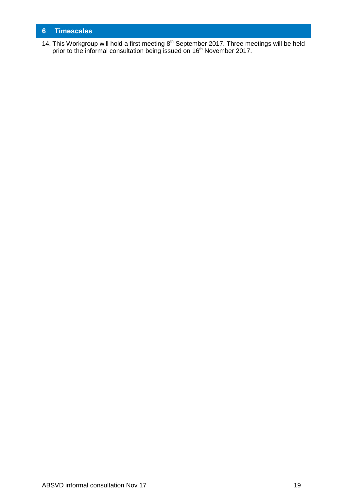## **6 Timescales**

14. This Workgroup will hold a first meeting  $8<sup>th</sup>$  September 2017. Three meetings will be held prior to the informal consultation being issued on 16<sup>th</sup> November 2017.